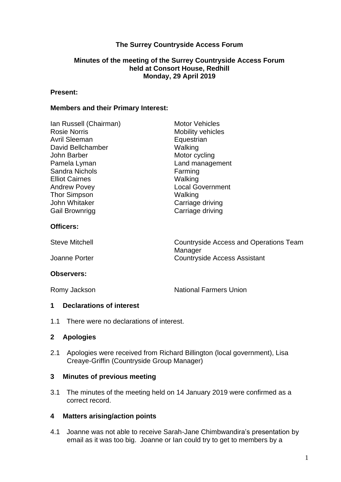# **The Surrey Countryside Access Forum**

#### **Minutes of the meeting of the Surrey Countryside Access Forum held at Consort House, Redhill Monday, 29 April 2019**

#### **Present:**

#### **Members and their Primary Interest:**

| Ian Russell (Chairman)<br><b>Rosie Norris</b><br>Avril Sleeman<br>David Bellchamber<br>John Barber<br>Pamela Lyman<br><b>Sandra Nichols</b><br><b>Elliot Cairnes</b> | <b>Motor Vehicles</b><br><b>Mobility vehicles</b><br>Equestrian<br>Walking<br>Motor cycling<br>Land management<br>Farming<br>Walking |
|----------------------------------------------------------------------------------------------------------------------------------------------------------------------|--------------------------------------------------------------------------------------------------------------------------------------|
| Andrew Povey<br>Thor Simpson                                                                                                                                         | <b>Local Government</b><br>Walking                                                                                                   |
| John Whitaker                                                                                                                                                        | Carriage driving                                                                                                                     |
| Gail Brownrigg                                                                                                                                                       | Carriage driving                                                                                                                     |
| <b>Officers:</b>                                                                                                                                                     |                                                                                                                                      |

| <b>Steve Mitchell</b> | Countryside Access and Operations Team |
|-----------------------|----------------------------------------|
|                       | Manager                                |
| Joanne Porter         | <b>Countryside Access Assistant</b>    |

### **Observers:**

Romy Jackson National Farmers Union

### **1 Declarations of interest**

1.1 There were no declarations of interest.

### **2 Apologies**

2.1 Apologies were received from Richard Billington (local government), Lisa Creaye-Griffin (Countryside Group Manager)

### **3 Minutes of previous meeting**

3.1 The minutes of the meeting held on 14 January 2019 were confirmed as a correct record.

### **4 Matters arising/action points**

4.1 Joanne was not able to receive Sarah-Jane Chimbwandira's presentation by email as it was too big. Joanne or Ian could try to get to members by a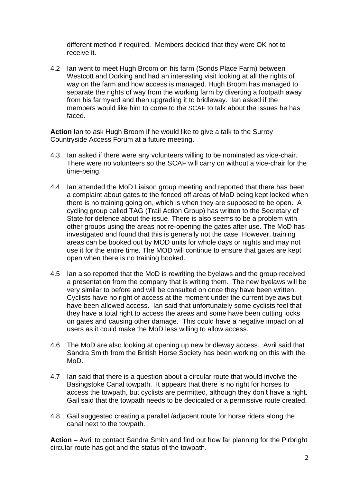different method if required. Members decided that they were OK not to receive it.

4.2 Ian went to meet Hugh Broom on his farm (Sonds Place Farm) between Westcott and Dorking and had an interesting visit looking at all the rights of way on the farm and how access is managed. Hugh Broom has managed to separate the rights of way from the working farm by diverting a footpath away from his farmyard and then upgrading it to bridleway. Ian asked if the members would like him to come to the SCAF to talk about the issues he has faced.

**Action** Ian to ask Hugh Broom if he would like to give a talk to the Surrey Countryside Access Forum at a future meeting.

- 4.3 Ian asked if there were any volunteers willing to be nominated as vice-chair. There were no volunteers so the SCAF will carry on without a vice-chair for the time-being.
- 4.4 Ian attended the MoD Liaison group meeting and reported that there has been a complaint about gates to the fenced off areas of MoD being kept locked when there is no training going on, which is when they are supposed to be open. A cycling group called TAG (Trail Action Group) has written to the Secretary of State for defence about the issue. There is also seems to be a problem with other groups using the areas not re-opening the gates after use. The MoD has investigated and found that this is generally not the case. However, training areas can be booked out by MOD units for whole days or nights and may not use it for the entire time. The MOD will continue to ensure that gates are kept open when there is no training booked.
- 4.5 Ian also reported that the MoD is rewriting the byelaws and the group received a presentation from the company that is writing them. The new byelaws will be very similar to before and will be consulted on once they have been written. Cyclists have no right of access at the moment under the current byelaws but have been allowed access. Ian said that unfortunately some cyclists feel that they have a total right to access the areas and some have been cutting locks on gates and causing other damage. This could have a negative impact on all users as it could make the MoD less willing to allow access.
- 4.6 The MoD are also looking at opening up new bridleway access. Avril said that Sandra Smith from the British Horse Society has been working on this with the MoD.
- 4.7 Ian said that there is a question about a circular route that would involve the Basingstoke Canal towpath. It appears that there is no right for horses to access the towpath, but cyclists are permitted, although they don't have a right. Gail said that the towpath needs to be dedicated or a permissive route created.
- 4.8 Gail suggested creating a parallel /adjacent route for horse riders along the canal next to the towpath.

**Action –** Avril to contact Sandra Smith and find out how far planning for the Pirbright circular route has got and the status of the towpath.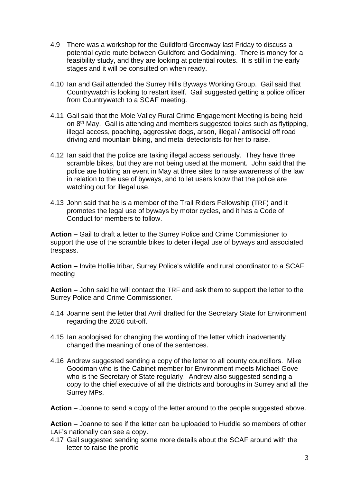- 4.9 There was a workshop for the Guildford Greenway last Friday to discuss a potential cycle route between Guildford and Godalming. There is money for a feasibility study, and they are looking at potential routes. It is still in the early stages and it will be consulted on when ready.
- 4.10 Ian and Gail attended the Surrey Hills Byways Working Group. Gail said that Countrywatch is looking to restart itself. Gail suggested getting a police officer from Countrywatch to a SCAF meeting.
- 4.11 Gail said that the Mole Valley Rural Crime Engagement Meeting is being held on 8th May. Gail is attending and members suggested topics such as flytipping, illegal access, poaching, aggressive dogs, arson, illegal / antisocial off road driving and mountain biking, and metal detectorists for her to raise.
- 4.12 Ian said that the police are taking illegal access seriously. They have three scramble bikes, but they are not being used at the moment. John said that the police are holding an event in May at three sites to raise awareness of the law in relation to the use of byways, and to let users know that the police are watching out for illegal use.
- 4.13 John said that he is a member of the Trail Riders Fellowship (TRF) and it promotes the legal use of byways by motor cycles, and it has a Code of Conduct for members to follow.

**Action –** Gail to draft a letter to the Surrey Police and Crime Commissioner to support the use of the scramble bikes to deter illegal use of byways and associated trespass.

**Action –** Invite Hollie Iribar, Surrey Police's wildlife and rural coordinator to a SCAF meeting

**Action –** John said he will contact the TRF and ask them to support the letter to the Surrey Police and Crime Commissioner.

- 4.14 Joanne sent the letter that Avril drafted for the Secretary State for Environment regarding the 2026 cut-off.
- 4.15 Ian apologised for changing the wording of the letter which inadvertently changed the meaning of one of the sentences.
- 4.16 Andrew suggested sending a copy of the letter to all county councillors. Mike Goodman who is the Cabinet member for Environment meets Michael Gove who is the Secretary of State regularly. Andrew also suggested sending a copy to the chief executive of all the districts and boroughs in Surrey and all the Surrey MPs.

**Action** – Joanne to send a copy of the letter around to the people suggested above.

**Action –** Joanne to see if the letter can be uploaded to Huddle so members of other LAF's nationally can see a copy.

4.17 Gail suggested sending some more details about the SCAF around with the letter to raise the profile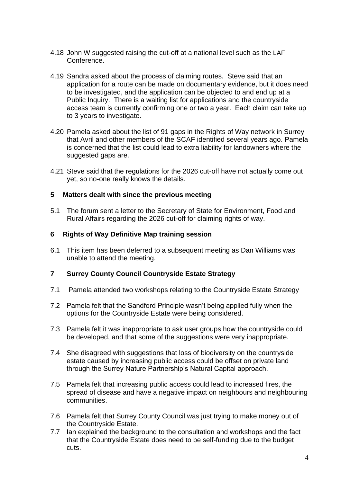- 4.18 John W suggested raising the cut-off at a national level such as the LAF Conference.
- 4.19 Sandra asked about the process of claiming routes. Steve said that an application for a route can be made on documentary evidence, but it does need to be investigated, and the application can be objected to and end up at a Public Inquiry. There is a waiting list for applications and the countryside access team is currently confirming one or two a year. Each claim can take up to 3 years to investigate.
- 4.20 Pamela asked about the list of 91 gaps in the Rights of Way network in Surrey that Avril and other members of the SCAF identified several years ago. Pamela is concerned that the list could lead to extra liability for landowners where the suggested gaps are.
- 4.21 Steve said that the regulations for the 2026 cut-off have not actually come out yet, so no-one really knows the details.

## **5 Matters dealt with since the previous meeting**

5.1 The forum sent a letter to the Secretary of State for Environment, Food and Rural Affairs regarding the 2026 cut-off for claiming rights of way.

## **6 Rights of Way Definitive Map training session**

6.1 This item has been deferred to a subsequent meeting as Dan Williams was unable to attend the meeting.

### **7 Surrey County Council Countryside Estate Strategy**

- 7.1 Pamela attended two workshops relating to the Countryside Estate Strategy
- 7.2 Pamela felt that the Sandford Principle wasn't being applied fully when the options for the Countryside Estate were being considered.
- 7.3 Pamela felt it was inappropriate to ask user groups how the countryside could be developed, and that some of the suggestions were very inappropriate.
- 7.4 She disagreed with suggestions that loss of biodiversity on the countryside estate caused by increasing public access could be offset on private land through the Surrey Nature Partnership's Natural Capital approach.
- 7.5 Pamela felt that increasing public access could lead to increased fires, the spread of disease and have a negative impact on neighbours and neighbouring communities.
- 7.6 Pamela felt that Surrey County Council was just trying to make money out of the Countryside Estate.
- 7.7 Ian explained the background to the consultation and workshops and the fact that the Countryside Estate does need to be self-funding due to the budget cuts.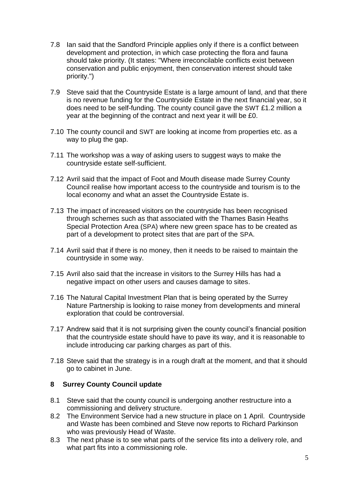- 7.8 Ian said that the Sandford Principle applies only if there is a conflict between development and protection, in which case protecting the flora and fauna should take priority. (It states: "Where irreconcilable conflicts exist between conservation and public enjoyment, then conservation interest should take priority.")
- 7.9 Steve said that the Countryside Estate is a large amount of land, and that there is no revenue funding for the Countryside Estate in the next financial year, so it does need to be self-funding. The county council gave the SWT £1.2 million a year at the beginning of the contract and next year it will be £0.
- 7.10 The county council and SWT are looking at income from properties etc. as a way to plug the gap.
- 7.11 The workshop was a way of asking users to suggest ways to make the countryside estate self-sufficient.
- 7.12 Avril said that the impact of Foot and Mouth disease made Surrey County Council realise how important access to the countryside and tourism is to the local economy and what an asset the Countryside Estate is.
- 7.13 The impact of increased visitors on the countryside has been recognised through schemes such as that associated with the Thames Basin Heaths Special Protection Area (SPA) where new green space has to be created as part of a development to protect sites that are part of the SPA.
- 7.14 Avril said that if there is no money, then it needs to be raised to maintain the countryside in some way.
- 7.15 Avril also said that the increase in visitors to the Surrey Hills has had a negative impact on other users and causes damage to sites.
- 7.16 The Natural Capital Investment Plan that is being operated by the Surrey Nature Partnership is looking to raise money from developments and mineral exploration that could be controversial.
- 7.17 Andrew said that it is not surprising given the county council's financial position that the countryside estate should have to pave its way, and it is reasonable to include introducing car parking charges as part of this.
- 7.18 Steve said that the strategy is in a rough draft at the moment, and that it should go to cabinet in June.

### **8 Surrey County Council update**

- 8.1 Steve said that the county council is undergoing another restructure into a commissioning and delivery structure.
- 8.2 The Environment Service had a new structure in place on 1 April. Countryside and Waste has been combined and Steve now reports to Richard Parkinson who was previously Head of Waste.
- 8.3 The next phase is to see what parts of the service fits into a delivery role, and what part fits into a commissioning role.